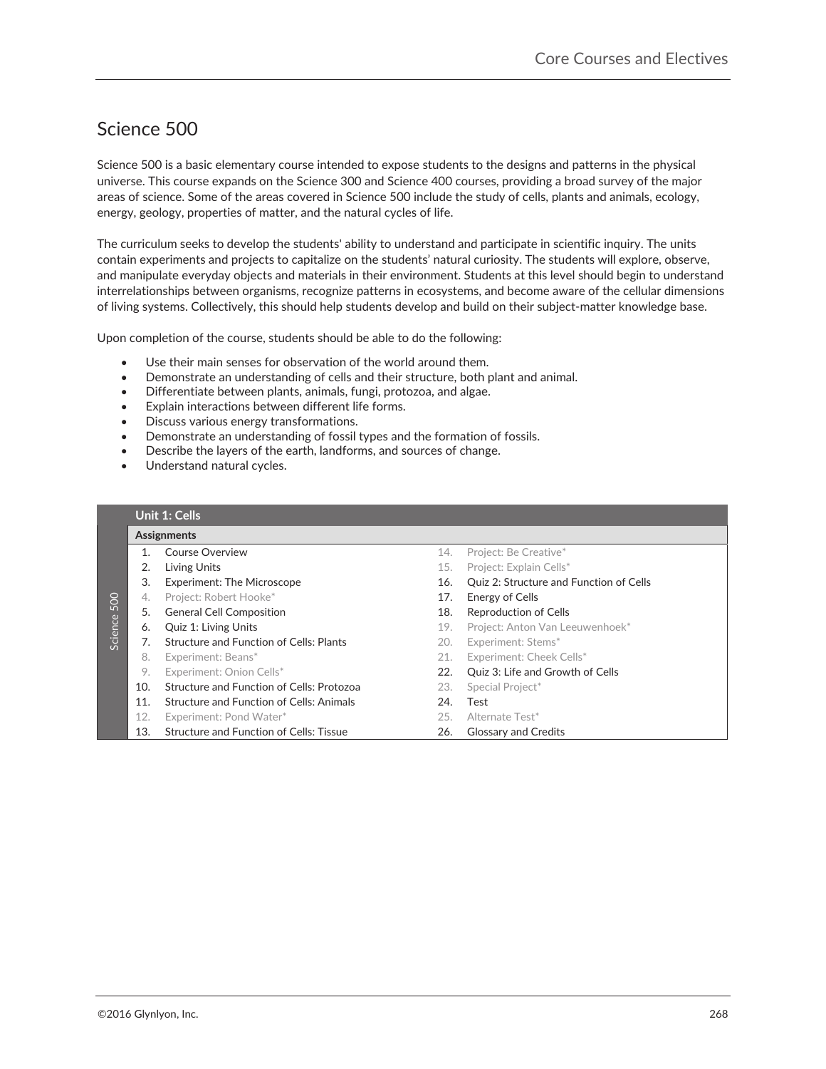# Science 500

Science 500 is a basic elementary course intended to expose students to the designs and patterns in the physical universe. This course expands on the Science 300 and Science 400 courses, providing a broad survey of the major areas of science. Some of the areas covered in Science 500 include the study of cells, plants and animals, ecology, energy, geology, properties of matter, and the natural cycles of life.-

The curriculum seeks to develop the students' ability to understand and participate in scientific inquiry. The units contain experiments and projects to capitalize on the students' natural curiosity. The students will explore, observe, and manipulate everyday objects and materials in their environment. Students at this level should begin to understand interrelationships between organisms, recognize patterns in ecosystems, and become aware of the cellular dimensions of living systems. Collectively, this should help students develop and build on their subject-matter knowledge base.

Upon completion of the course, students should be able to do the following:**-**

- Use their main senses for observation of the world around them.
- Demonstrate an understanding of cells and their structure, both plant and animal.
- Differentiate between plants, animals, fungi, protozoa, and algae.
- Explain interactions between different life forms.
- Discuss various energy transformations.
- Demonstrate an understanding of fossil types and the formation of fossils.
- Describe the layers of the earth, landforms, and sources of change.
- Understand natural cycles.

|             |     | Unit 1: Cells                             |     |                                         |
|-------------|-----|-------------------------------------------|-----|-----------------------------------------|
|             |     | Assignments                               |     |                                         |
|             |     | Course Overview                           | 14. | Project: Be Creative*                   |
|             | 2.  | Living Units                              | 15. | Project: Explain Cells*                 |
|             | 3.  | <b>Experiment: The Microscope</b>         | 16. | Quiz 2: Structure and Function of Cells |
|             | 4.  | Project: Robert Hooke*                    | 17. | Energy of Cells                         |
|             | 5.  | <b>General Cell Composition</b>           | 18. | <b>Reproduction of Cells</b>            |
| Science 500 | 6.  | Quiz 1: Living Units                      | 19. | Project: Anton Van Leeuwenhoek*         |
|             | 7.  | Structure and Function of Cells: Plants   | 20. | Experiment: Stems*                      |
|             | 8.  | Experiment: Beans*                        | 21. | Experiment: Cheek Cells*                |
|             | 9.  | Experiment: Onion Cells*                  | 22. | Ouiz 3: Life and Growth of Cells        |
|             | 10. | Structure and Function of Cells: Protozoa | 23. | Special Project*                        |
|             | 11. | Structure and Function of Cells: Animals  | 24. | Test                                    |
|             | 12. | Experiment: Pond Water*                   | 25. | Alternate Test*                         |
|             | 13. | Structure and Function of Cells: Tissue   | 26. | <b>Glossary and Credits</b>             |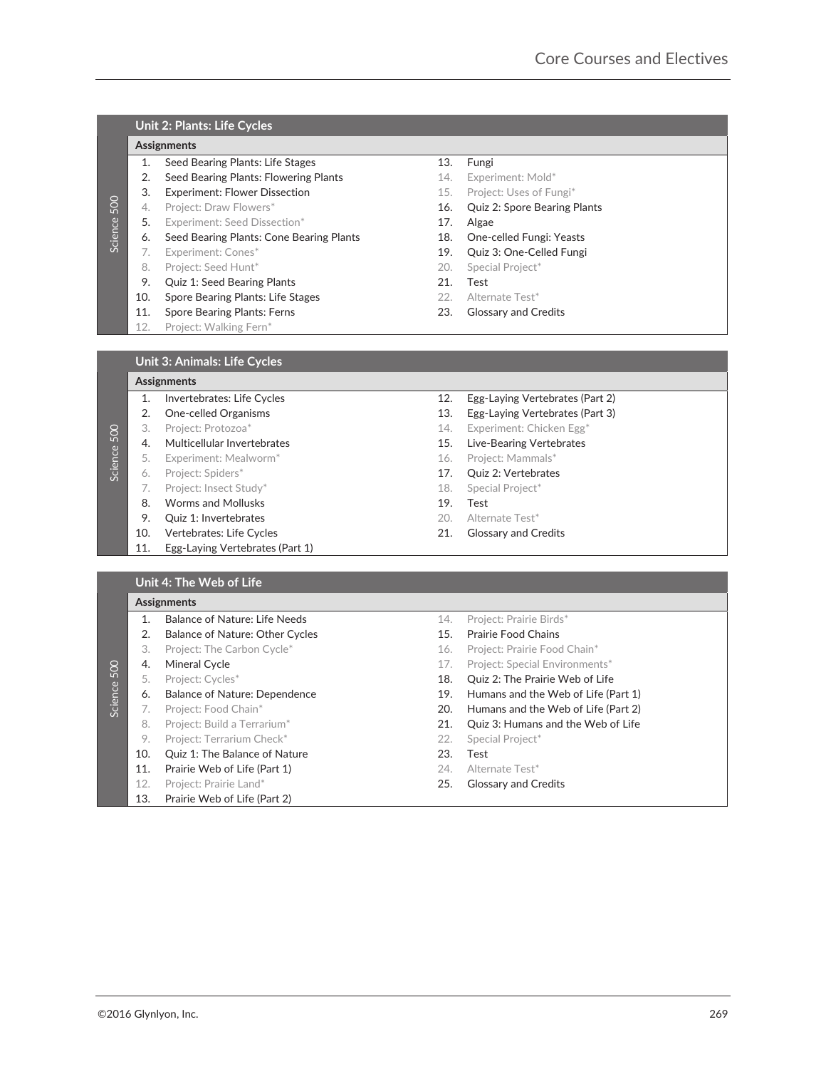## **Unit 2: Plants: Life Cycles**

### **Assignments-**

- 1. Seed Bearing Plants: Life Stages 13. Fungi
- 2. Seed Bearing Plants: Flowering Plants 14. Experiment: Mold\*
- 
- 
- 5. Experiment: Seed Dissection\* 17. Algae
- 6. Seed Bearing Plants: Cone Bearing Plants 18. One-celled Fungi: Yeasts
- - 8. Project: Seed Hunt\* and the control of the control of the Special Project\*
- 9. Quiz 1: Seed Bearing Plants 21. Test
- 10. Spore Bearing Plants: Life Stages 22. Alternate Test\*
- 11. Spore Bearing Plants: Ferns 23. Glossary and Credits
- 12. Project: Walking Fern\*

- 
- 3. Experiment: Flower Dissection 15. Project: Uses of Fungi<sup>\*</sup>
- 4. Project: Draw Flowers\* The Contract of the Contract of the Cuiz 2: Spore Bearing Plants
	-
	-
- 7. Experiment: Cones\* 19. Quiz 3: One-Celled Fungi
	-
	-
	-
	-

### **Assignments-**

- 2. One-celled Organisms 13. Egg-Laying Vertebrates (Part 3) 3. Project: Protozoa\* 14. Experiment: Chicken Egg\* 4. Multicellular Invertebrates 15. Live-Bearing Vertebrates 5. Experiment: Mealworm\* The Contraction of the Contraction of the Contraction of the Project: Mammals\* 6. Project: Spiders\* 17. Quiz 2: Vertebrates
	- 7. Project: Insect Study\* 18. Special Project\*
	- 8. Worms and Mollusks 19. Test
	- 9. Quiz 1: Invertebrates 20. Alternate Test\*
- 10. Vertebrates: Life Cycles 21. Glossary and Credits
- 11. Egg-Laying Vertebrates (Part 1)
- 1. Invertebrates: Life Cycles 12. Egg-Laying Vertebrates (Part 2)
	-
	-
	-
	-
	-
	-
	-
	-
	-
	-

### **Unit 4: The Web of Life**

| Science 500 | 4.<br>5.<br>6.<br>7.<br>8.<br>9.<br>10.<br>11.<br>12. | Project: Draw Flowers*<br>Experiment: Seed Dissection*<br>Seed Bearing Plants: Cone Bearing Plants<br>Experiment: Cones*<br>Project: Seed Hunt*<br>Quiz 1: Seed Bearing Plants<br>Spore Bearing Plants: Life Stages<br>Spore Bearing Plants: Ferns<br>Project: Walking Fern* | 16.<br>17.<br>18.<br>19.<br>20.<br>21.<br>22.<br>23. | Quiz 2: Spore Bearing Plants<br>Algae<br>One-celled Fungi: Yeasts<br>Quiz 3: One-Celled Fungi<br>Special Project*<br>Test<br>Alternate Test*<br><b>Glossary and Credits</b> |     |
|-------------|-------------------------------------------------------|------------------------------------------------------------------------------------------------------------------------------------------------------------------------------------------------------------------------------------------------------------------------------|------------------------------------------------------|-----------------------------------------------------------------------------------------------------------------------------------------------------------------------------|-----|
|             |                                                       | <b>Unit 3: Animals: Life Cycles</b>                                                                                                                                                                                                                                          |                                                      |                                                                                                                                                                             |     |
|             |                                                       | <b>Assignments</b>                                                                                                                                                                                                                                                           |                                                      |                                                                                                                                                                             |     |
|             | 1.                                                    | Invertebrates: Life Cycles                                                                                                                                                                                                                                                   | 12.                                                  | Egg-Laying Vertebrates (Part 2)                                                                                                                                             |     |
|             | 2.                                                    | One-celled Organisms                                                                                                                                                                                                                                                         | 13.                                                  | Egg-Laying Vertebrates (Part 3)                                                                                                                                             |     |
|             | 3.                                                    | Project: Protozoa*                                                                                                                                                                                                                                                           | 14.                                                  | Experiment: Chicken Egg*                                                                                                                                                    |     |
| Science 500 | 4.                                                    | Multicellular Invertebrates                                                                                                                                                                                                                                                  | 15.                                                  | Live-Bearing Vertebrates                                                                                                                                                    |     |
|             | 5.                                                    | Experiment: Mealworm*                                                                                                                                                                                                                                                        | 16.                                                  | Project: Mammals*                                                                                                                                                           |     |
|             | 6.                                                    | Project: Spiders*                                                                                                                                                                                                                                                            | 17.                                                  | Quiz 2: Vertebrates                                                                                                                                                         |     |
|             | 7.                                                    | Project: Insect Study*                                                                                                                                                                                                                                                       | 18.                                                  | Special Project*                                                                                                                                                            |     |
|             | 8.                                                    | <b>Worms and Mollusks</b>                                                                                                                                                                                                                                                    | 19.                                                  | Test                                                                                                                                                                        |     |
|             | 9.                                                    | Quiz 1: Invertebrates                                                                                                                                                                                                                                                        | 20.                                                  | Alternate Test*                                                                                                                                                             |     |
|             | 10.                                                   | Vertebrates: Life Cycles                                                                                                                                                                                                                                                     | 21.                                                  | <b>Glossary and Credits</b>                                                                                                                                                 |     |
|             | 11.                                                   | Egg-Laying Vertebrates (Part 1)                                                                                                                                                                                                                                              |                                                      |                                                                                                                                                                             |     |
|             |                                                       |                                                                                                                                                                                                                                                                              |                                                      |                                                                                                                                                                             |     |
|             |                                                       | Unit 4: The Web of Life                                                                                                                                                                                                                                                      |                                                      |                                                                                                                                                                             |     |
|             |                                                       | Assignments                                                                                                                                                                                                                                                                  |                                                      |                                                                                                                                                                             |     |
|             | 1.                                                    | <b>Balance of Nature: Life Needs</b>                                                                                                                                                                                                                                         | 14.                                                  | Project: Prairie Birds*                                                                                                                                                     |     |
|             | 2.                                                    | Balance of Nature: Other Cycles                                                                                                                                                                                                                                              | 15.                                                  | <b>Prairie Food Chains</b>                                                                                                                                                  |     |
|             | 3.                                                    | Project: The Carbon Cycle*                                                                                                                                                                                                                                                   | 16.                                                  | Project: Prairie Food Chain*                                                                                                                                                |     |
|             | 4.                                                    | Mineral Cycle                                                                                                                                                                                                                                                                | 17.                                                  | Project: Special Environments*                                                                                                                                              |     |
| Science 500 | 5.                                                    | Project: Cycles*                                                                                                                                                                                                                                                             | 18.                                                  | Quiz 2: The Prairie Web of Life                                                                                                                                             |     |
|             | 6.                                                    | <b>Balance of Nature: Dependence</b>                                                                                                                                                                                                                                         | 19.                                                  | Humans and the Web of Life (Part 1)                                                                                                                                         |     |
|             | 7.                                                    | Project: Food Chain*                                                                                                                                                                                                                                                         | 20.                                                  | Humans and the Web of Life (Part 2)                                                                                                                                         |     |
|             | 8.                                                    | Project: Build a Terrarium*                                                                                                                                                                                                                                                  | 21.                                                  | Quiz 3: Humans and the Web of Life                                                                                                                                          |     |
|             | 9.                                                    | Project: Terrarium Check*                                                                                                                                                                                                                                                    | 22.                                                  | Special Project*                                                                                                                                                            |     |
|             | 10.                                                   | Quiz 1: The Balance of Nature                                                                                                                                                                                                                                                | 23.                                                  | Test                                                                                                                                                                        |     |
|             | 11.                                                   | Prairie Web of Life (Part 1)                                                                                                                                                                                                                                                 | 24.                                                  | Alternate Test*                                                                                                                                                             |     |
|             | 12.                                                   | Project: Prairie Land*                                                                                                                                                                                                                                                       | 25.                                                  | <b>Glossary and Credits</b>                                                                                                                                                 |     |
|             | 13.                                                   | Prairie Web of Life (Part 2)                                                                                                                                                                                                                                                 |                                                      |                                                                                                                                                                             |     |
|             |                                                       |                                                                                                                                                                                                                                                                              |                                                      |                                                                                                                                                                             |     |
|             |                                                       | 2016 Glynlyon, Inc.                                                                                                                                                                                                                                                          |                                                      |                                                                                                                                                                             | 269 |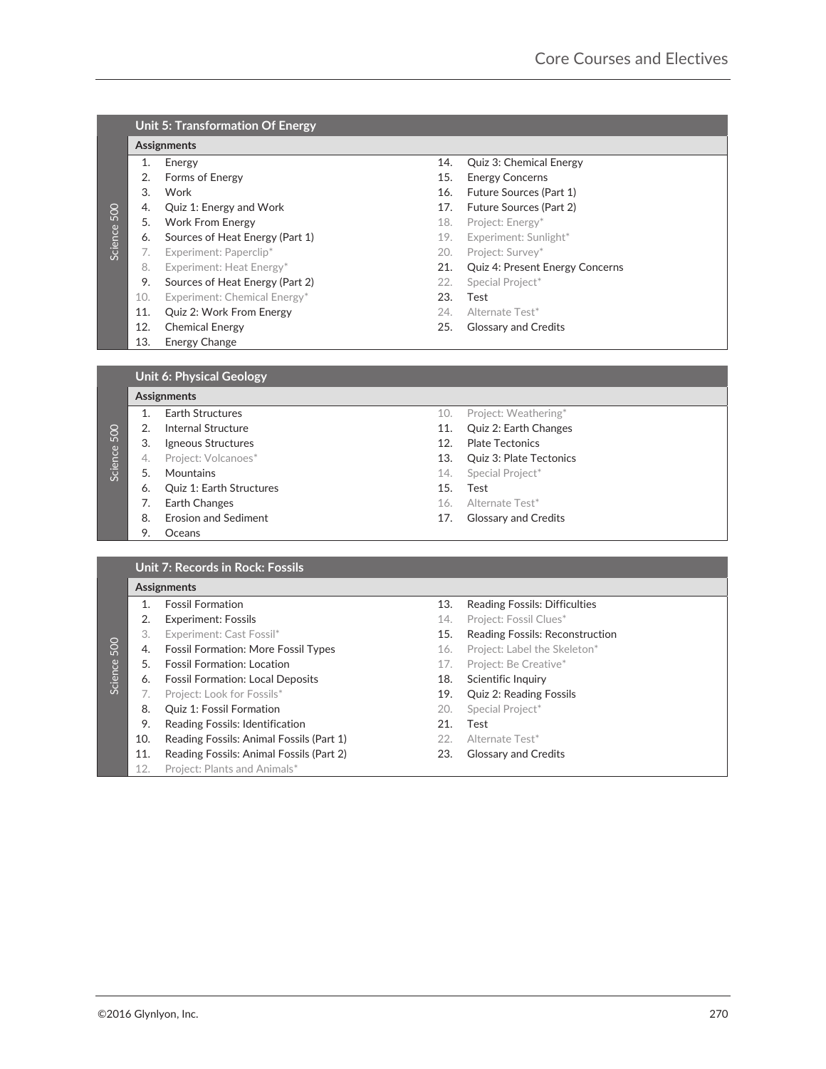|         |     | <b>Unit 5: Transformation Of Energy</b> |     |                                 |  |  |  |
|---------|-----|-----------------------------------------|-----|---------------------------------|--|--|--|
|         |     | <b>Assignments</b>                      |     |                                 |  |  |  |
|         | 1.  | Energy                                  | 14. | Quiz 3: Chemical Energy         |  |  |  |
|         | 2.  | <b>Forms of Energy</b>                  | 15. | <b>Energy Concerns</b>          |  |  |  |
|         | 3.  | Work                                    | 16. | Future Sources (Part 1)         |  |  |  |
| 500     | 4.  | Quiz 1: Energy and Work                 | 17. | Future Sources (Part 2)         |  |  |  |
|         | 5.  | <b>Work From Energy</b>                 | 18. | Project: Energy*                |  |  |  |
| Science | 6.  | Sources of Heat Energy (Part 1)         | 19. | Experiment: Sunlight*           |  |  |  |
|         | 7.  | Experiment: Paperclip*                  | 20. | Project: Survey*                |  |  |  |
|         | 8.  | Experiment: Heat Energy*                | 21. | Quiz 4: Present Energy Concerns |  |  |  |
|         | 9.  | Sources of Heat Energy (Part 2)         | 22. | Special Project*                |  |  |  |
|         | 10. | Experiment: Chemical Energy*            | 23. | Test                            |  |  |  |
|         | 11. | Quiz 2: Work From Energy                | 24. | Alternate Test*                 |  |  |  |
|         | 12. | <b>Chemical Energy</b>                  | 25. | <b>Glossary and Credits</b>     |  |  |  |
|         | 13. | Energy Change                           |     |                                 |  |  |  |
|         |     |                                         |     |                                 |  |  |  |
|         |     | <b>Unit 6: Physical Geology</b>         |     |                                 |  |  |  |

|             | 4.  | Quiz 1: Energy and Work                    | 17. | Future Sources (Part 2)              |     |
|-------------|-----|--------------------------------------------|-----|--------------------------------------|-----|
|             | 5.  | <b>Work From Energy</b>                    | 18. | Project: Energy*                     |     |
| Science 500 | 6.  | Sources of Heat Energy (Part 1)            | 19. | Experiment: Sunlight*                |     |
|             | 7.  | Experiment: Paperclip*                     | 20. | Project: Survey*                     |     |
|             | 8.  | Experiment: Heat Energy*                   | 21. |                                      |     |
|             |     |                                            |     | Quiz 4: Present Energy Concerns      |     |
|             | 9.  | Sources of Heat Energy (Part 2)            | 22. | Special Project*                     |     |
|             | 10. | Experiment: Chemical Energy*               | 23. | Test                                 |     |
|             | 11. | Quiz 2: Work From Energy                   | 24. | Alternate Test*                      |     |
|             | 12. | <b>Chemical Energy</b>                     | 25. | <b>Glossary and Credits</b>          |     |
|             | 13. | Energy Change                              |     |                                      |     |
|             |     |                                            |     |                                      |     |
|             |     | <b>Unit 6: Physical Geology</b>            |     |                                      |     |
|             |     | Assignments                                |     |                                      |     |
|             | 1.  | <b>Earth Structures</b>                    | 10. | Project: Weathering*                 |     |
|             | 2.  | <b>Internal Structure</b>                  | 11. | Quiz 2: Earth Changes                |     |
| Science 500 |     |                                            |     |                                      |     |
|             | 3.  | Igneous Structures                         | 12. | <b>Plate Tectonics</b>               |     |
|             | 4.  | Project: Volcanoes*                        | 13. | Quiz 3: Plate Tectonics              |     |
|             | 5.  | Mountains                                  | 14. | Special Project*                     |     |
|             | 6.  | Quiz 1: Earth Structures                   | 15. | Test                                 |     |
|             | 7.  | Earth Changes                              | 16. | Alternate Test*                      |     |
|             | 8.  | <b>Erosion and Sediment</b>                | 17. | <b>Glossary and Credits</b>          |     |
|             | 9.  | Oceans                                     |     |                                      |     |
|             |     |                                            |     |                                      |     |
|             |     | Unit 7: Records in Rock: Fossils           |     |                                      |     |
|             |     | <b>Assignments</b>                         |     |                                      |     |
|             | 1.  | <b>Fossil Formation</b>                    | 13. | <b>Reading Fossils: Difficulties</b> |     |
|             | 2.  | <b>Experiment: Fossils</b>                 | 14. | Project: Fossil Clues*               |     |
|             | 3.  | Experiment: Cast Fossil*                   | 15. | Reading Fossils: Reconstruction      |     |
|             | 4.  | <b>Fossil Formation: More Fossil Types</b> | 16. | Project: Label the Skeleton*         |     |
| Science 500 | 5.  | <b>Fossil Formation: Location</b>          |     | Project: Be Creative*                |     |
|             |     |                                            | 17. |                                      |     |
|             | 6.  | <b>Fossil Formation: Local Deposits</b>    | 18. | Scientific Inquiry                   |     |
|             | 7.  | Project: Look for Fossils*                 | 19. | Quiz 2: Reading Fossils              |     |
|             | 8.  | Quiz 1: Fossil Formation                   | 20. | Special Project*                     |     |
|             | 9.  | Reading Fossils: Identification            | 21. | Test                                 |     |
|             | 10. | Reading Fossils: Animal Fossils (Part 1)   | 22. | Alternate Test*                      |     |
|             | 11. | Reading Fossils: Animal Fossils (Part 2)   | 23. | <b>Glossary and Credits</b>          |     |
|             | 12. | Project: Plants and Animals*               |     |                                      |     |
|             |     |                                            |     |                                      |     |
|             |     |                                            |     |                                      |     |
|             |     |                                            |     |                                      |     |
|             |     |                                            |     |                                      |     |
|             |     |                                            |     |                                      |     |
|             |     |                                            |     |                                      |     |
|             |     |                                            |     |                                      |     |
|             |     |                                            |     |                                      |     |
|             |     |                                            |     |                                      |     |
|             |     |                                            |     |                                      |     |
|             |     |                                            |     |                                      |     |
|             |     |                                            |     |                                      |     |
|             |     |                                            |     |                                      |     |
|             |     |                                            |     |                                      |     |
|             |     |                                            |     |                                      |     |
|             |     | ©2016 Glynlyon, Inc.                       |     |                                      | 270 |

©2016 Glynlyon, Inc.